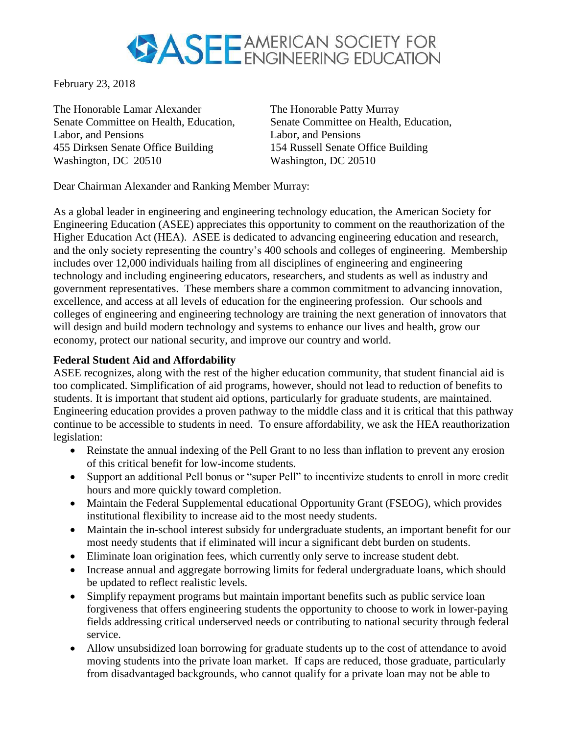

February 23, 2018

The Honorable Lamar Alexander Senate Committee on Health, Education, Labor, and Pensions 455 Dirksen Senate Office Building Washington, DC 20510

The Honorable Patty Murray Senate Committee on Health, Education, Labor, and Pensions 154 Russell Senate Office Building Washington, DC 20510

Dear Chairman Alexander and Ranking Member Murray:

As a global leader in engineering and engineering technology education, the American Society for Engineering Education (ASEE) appreciates this opportunity to comment on the reauthorization of the Higher Education Act (HEA). ASEE is dedicated to advancing engineering education and research, and the only society representing the country's 400 schools and colleges of engineering. Membership includes over 12,000 individuals hailing from all disciplines of engineering and engineering technology and including engineering educators, researchers, and students as well as industry and government representatives. These members share a common commitment to advancing innovation, excellence, and access at all levels of education for the engineering profession. Our schools and colleges of engineering and engineering technology are training the next generation of innovators that will design and build modern technology and systems to enhance our lives and health, grow our economy, protect our national security, and improve our country and world.

## **Federal Student Aid and Affordability**

ASEE recognizes, along with the rest of the higher education community, that student financial aid is too complicated. Simplification of aid programs, however, should not lead to reduction of benefits to students. It is important that student aid options, particularly for graduate students, are maintained. Engineering education provides a proven pathway to the middle class and it is critical that this pathway continue to be accessible to students in need. To ensure affordability, we ask the HEA reauthorization legislation:

- Reinstate the annual indexing of the Pell Grant to no less than inflation to prevent any erosion of this critical benefit for low-income students.
- Support an additional Pell bonus or "super Pell" to incentivize students to enroll in more credit hours and more quickly toward completion.
- Maintain the Federal Supplemental educational Opportunity Grant (FSEOG), which provides institutional flexibility to increase aid to the most needy students.
- Maintain the in-school interest subsidy for undergraduate students, an important benefit for our most needy students that if eliminated will incur a significant debt burden on students.
- Eliminate loan origination fees, which currently only serve to increase student debt.
- Increase annual and aggregate borrowing limits for federal undergraduate loans, which should be updated to reflect realistic levels.
- Simplify repayment programs but maintain important benefits such as public service loan forgiveness that offers engineering students the opportunity to choose to work in lower-paying fields addressing critical underserved needs or contributing to national security through federal service.
- Allow unsubsidized loan borrowing for graduate students up to the cost of attendance to avoid moving students into the private loan market. If caps are reduced, those graduate, particularly from disadvantaged backgrounds, who cannot qualify for a private loan may not be able to